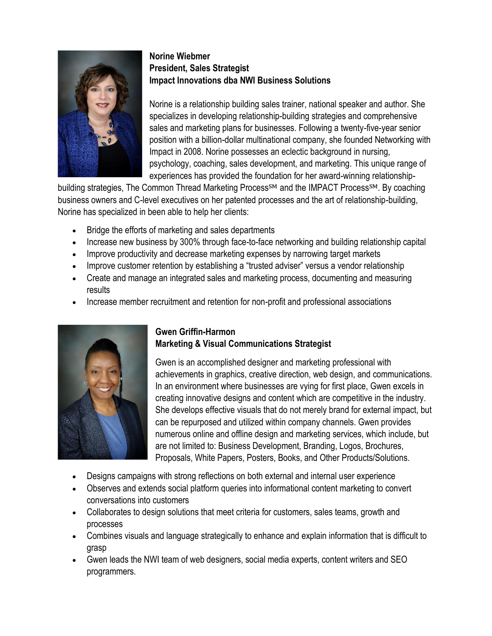

## **Norine Wiebmer President, Sales Strategist Impact Innovations dba NWI Business Solutions**

Norine is a relationship building sales trainer, national speaker and author. She specializes in developing relationship-building strategies and comprehensive sales and marketing plans for businesses. Following a twenty-five-year senior position with a billion-dollar multinational company, she founded Networking with Impact in 2008. Norine possesses an eclectic background in nursing, psychology, coaching, sales development, and marketing. This unique range of experiences has provided the foundation for her award-winning relationship-

building strategies, The Common Thread Marketing Process<sup>SM</sup> and the IMPACT Process<sup>SM</sup>. By coaching business owners and C-level executives on her patented processes and the art of relationship-building, Norine has specialized in been able to help her clients:

- Bridge the efforts of marketing and sales departments
- Increase new business by 300% through face-to-face networking and building relationship capital
- Improve productivity and decrease marketing expenses by narrowing target markets
- Improve customer retention by establishing a "trusted adviser" versus a vendor relationship
- Create and manage an integrated sales and marketing process, documenting and measuring results
- Increase member recruitment and retention for non-profit and professional associations



## **Gwen Griffin-Harmon Marketing & Visual Communications Strategist**

Gwen is an accomplished designer and marketing professional with achievements in graphics, creative direction, web design, and communications. In an environment where businesses are vying for first place, Gwen excels in creating innovative designs and content which are competitive in the industry. She develops effective visuals that do not merely brand for external impact, but can be repurposed and utilized within company channels. Gwen provides numerous online and offline design and marketing services, which include, but are not limited to: Business Development, Branding, Logos, Brochures, Proposals, White Papers, Posters, Books, and Other Products/Solutions.

- Designs campaigns with strong reflections on both external and internal user experience
- Observes and extends social platform queries into informational content marketing to convert conversations into customers
- Collaborates to design solutions that meet criteria for customers, sales teams, growth and processes
- Combines visuals and language strategically to enhance and explain information that is difficult to grasp
- Gwen leads the NWI team of web designers, social media experts, content writers and SEO programmers.